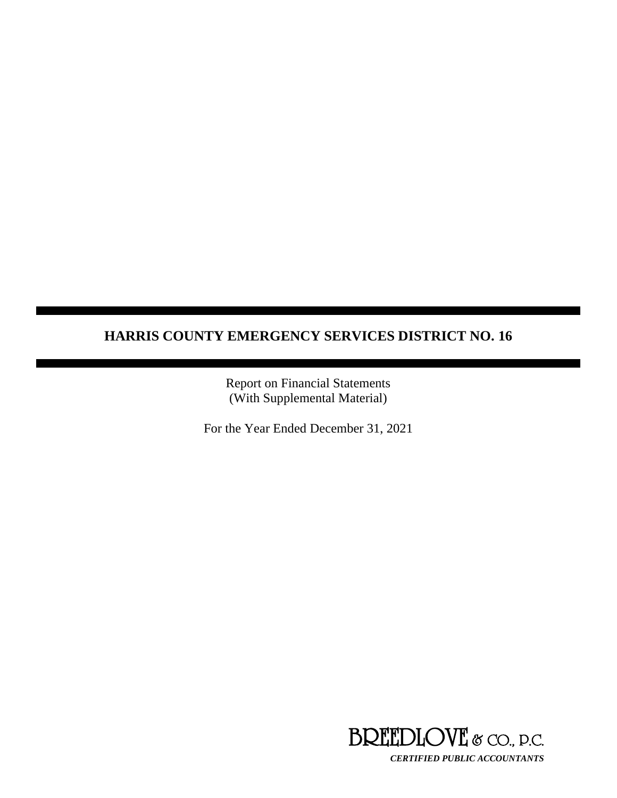Report on Financial Statements (With Supplemental Material)

For the Year Ended December 31, 2021

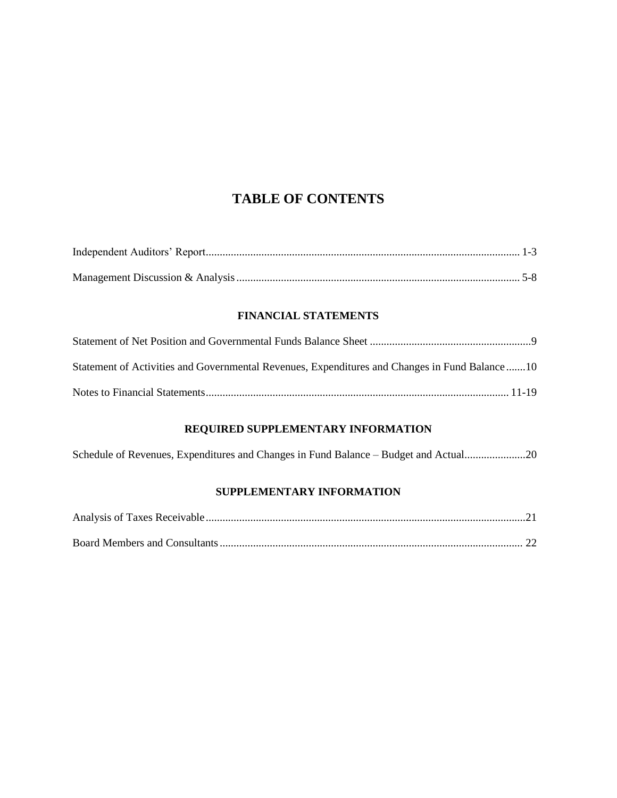# **TABLE OF CONTENTS**

# **FINANCIAL STATEMENTS**

| Statement of Activities and Governmental Revenues, Expenditures and Changes in Fund Balance10 |  |
|-----------------------------------------------------------------------------------------------|--|
|                                                                                               |  |

# **REQUIRED SUPPLEMENTARY INFORMATION**

Schedule of Revenues, Expenditures and Changes in Fund Balance – Budget and Actual......................20

# **SUPPLEMENTARY INFORMATION**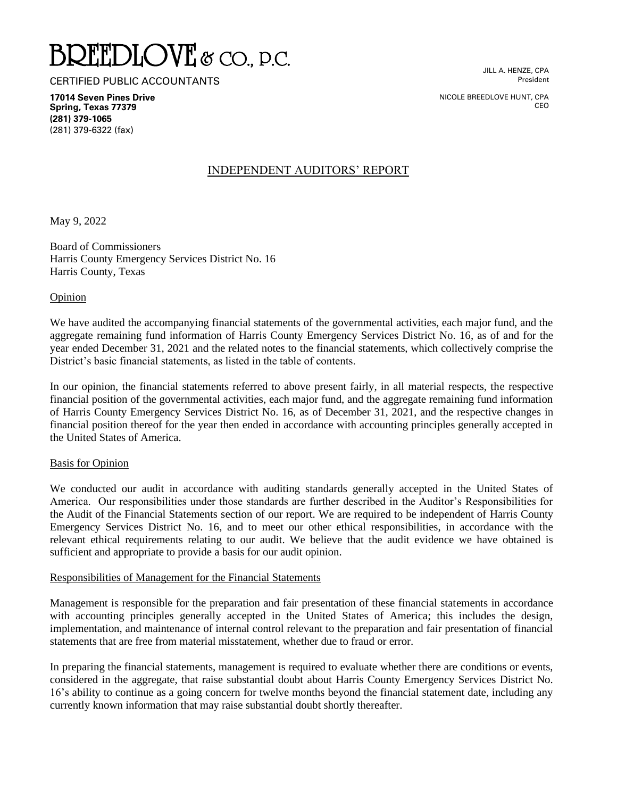# $\rm EEDLOVE$  & co., p.c.

CERTIFIED PUBLIC ACCOUNTANTS

JILL A. HENZE, CPA President

NICOLE BREEDLOVE HUNT, CPA C<sub>EO</sub>

**17014 Seven Pines Drive Spring, Texas 77379 (281) 379-1065** (281) 379-6322 (fax)

# INDEPENDENT AUDITORS' REPORT

May 9, 2022

Board of Commissioners Harris County Emergency Services District No. 16 Harris County, Texas

Opinion

We have audited the accompanying financial statements of the governmental activities, each major fund, and the aggregate remaining fund information of Harris County Emergency Services District No. 16, as of and for the year ended December 31, 2021 and the related notes to the financial statements, which collectively comprise the District's basic financial statements, as listed in the table of contents.

In our opinion, the financial statements referred to above present fairly, in all material respects, the respective financial position of the governmental activities, each major fund, and the aggregate remaining fund information of Harris County Emergency Services District No. 16, as of December 31, 2021, and the respective changes in financial position thereof for the year then ended in accordance with accounting principles generally accepted in the United States of America.

#### Basis for Opinion

We conducted our audit in accordance with auditing standards generally accepted in the United States of America. Our responsibilities under those standards are further described in the Auditor's Responsibilities for the Audit of the Financial Statements section of our report. We are required to be independent of Harris County Emergency Services District No. 16, and to meet our other ethical responsibilities, in accordance with the relevant ethical requirements relating to our audit. We believe that the audit evidence we have obtained is sufficient and appropriate to provide a basis for our audit opinion.

#### Responsibilities of Management for the Financial Statements

Management is responsible for the preparation and fair presentation of these financial statements in accordance with accounting principles generally accepted in the United States of America; this includes the design, implementation, and maintenance of internal control relevant to the preparation and fair presentation of financial statements that are free from material misstatement, whether due to fraud or error.

In preparing the financial statements, management is required to evaluate whether there are conditions or events, considered in the aggregate, that raise substantial doubt about Harris County Emergency Services District No. 16's ability to continue as a going concern for twelve months beyond the financial statement date, including any currently known information that may raise substantial doubt shortly thereafter.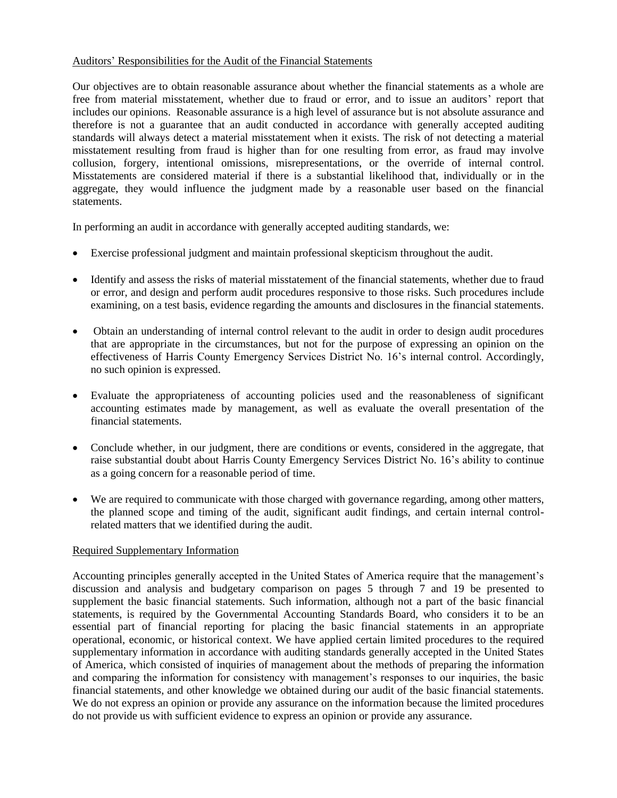#### Auditors' Responsibilities for the Audit of the Financial Statements

Our objectives are to obtain reasonable assurance about whether the financial statements as a whole are free from material misstatement, whether due to fraud or error, and to issue an auditors' report that includes our opinions. Reasonable assurance is a high level of assurance but is not absolute assurance and therefore is not a guarantee that an audit conducted in accordance with generally accepted auditing standards will always detect a material misstatement when it exists. The risk of not detecting a material misstatement resulting from fraud is higher than for one resulting from error, as fraud may involve collusion, forgery, intentional omissions, misrepresentations, or the override of internal control. Misstatements are considered material if there is a substantial likelihood that, individually or in the aggregate, they would influence the judgment made by a reasonable user based on the financial statements.

In performing an audit in accordance with generally accepted auditing standards, we:

- Exercise professional judgment and maintain professional skepticism throughout the audit.
- Identify and assess the risks of material misstatement of the financial statements, whether due to fraud or error, and design and perform audit procedures responsive to those risks. Such procedures include examining, on a test basis, evidence regarding the amounts and disclosures in the financial statements.
- Obtain an understanding of internal control relevant to the audit in order to design audit procedures that are appropriate in the circumstances, but not for the purpose of expressing an opinion on the effectiveness of Harris County Emergency Services District No. 16's internal control. Accordingly, no such opinion is expressed.
- Evaluate the appropriateness of accounting policies used and the reasonableness of significant accounting estimates made by management, as well as evaluate the overall presentation of the financial statements.
- Conclude whether, in our judgment, there are conditions or events, considered in the aggregate, that raise substantial doubt about Harris County Emergency Services District No. 16's ability to continue as a going concern for a reasonable period of time.
- We are required to communicate with those charged with governance regarding, among other matters, the planned scope and timing of the audit, significant audit findings, and certain internal controlrelated matters that we identified during the audit.

#### Required Supplementary Information

Accounting principles generally accepted in the United States of America require that the management's discussion and analysis and budgetary comparison on pages 5 through 7 and 19 be presented to supplement the basic financial statements. Such information, although not a part of the basic financial statements, is required by the Governmental Accounting Standards Board, who considers it to be an essential part of financial reporting for placing the basic financial statements in an appropriate operational, economic, or historical context. We have applied certain limited procedures to the required supplementary information in accordance with auditing standards generally accepted in the United States of America, which consisted of inquiries of management about the methods of preparing the information and comparing the information for consistency with management's responses to our inquiries, the basic financial statements, and other knowledge we obtained during our audit of the basic financial statements. We do not express an opinion or provide any assurance on the information because the limited procedures do not provide us with sufficient evidence to express an opinion or provide any assurance.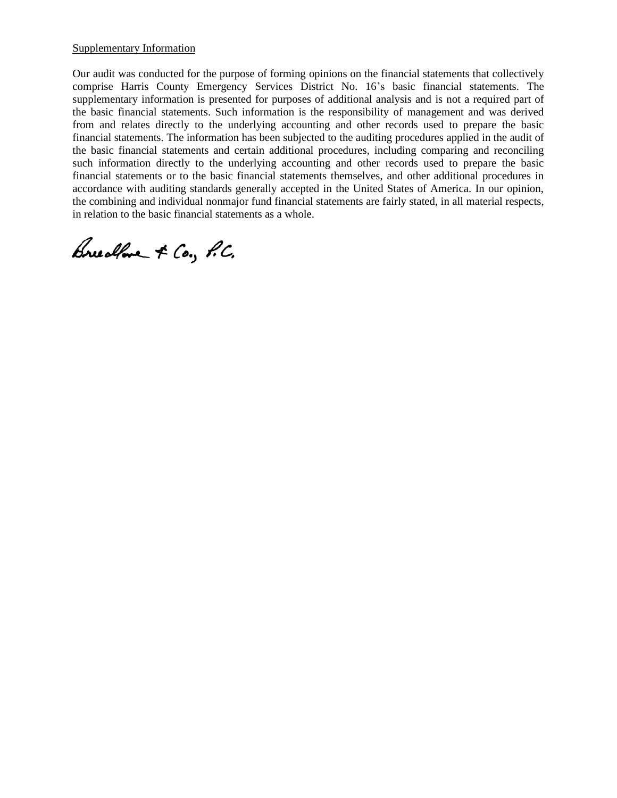#### Supplementary Information

Our audit was conducted for the purpose of forming opinions on the financial statements that collectively comprise Harris County Emergency Services District No. 16's basic financial statements. The supplementary information is presented for purposes of additional analysis and is not a required part of the basic financial statements. Such information is the responsibility of management and was derived from and relates directly to the underlying accounting and other records used to prepare the basic financial statements. The information has been subjected to the auditing procedures applied in the audit of the basic financial statements and certain additional procedures, including comparing and reconciling such information directly to the underlying accounting and other records used to prepare the basic financial statements or to the basic financial statements themselves, and other additional procedures in accordance with auditing standards generally accepted in the United States of America. In our opinion, the combining and individual nonmajor fund financial statements are fairly stated, in all material respects, in relation to the basic financial statements as a whole.

Breadfore # Co., P.C.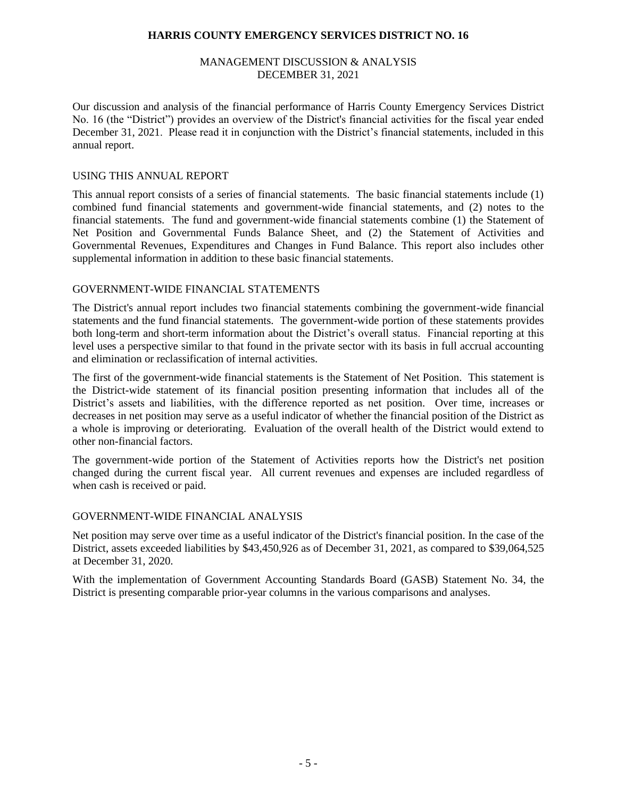# MANAGEMENT DISCUSSION & ANALYSIS DECEMBER 31, 2021

Our discussion and analysis of the financial performance of Harris County Emergency Services District No. 16 (the "District") provides an overview of the District's financial activities for the fiscal year ended December 31, 2021. Please read it in conjunction with the District's financial statements, included in this annual report.

#### USING THIS ANNUAL REPORT

This annual report consists of a series of financial statements. The basic financial statements include (1) combined fund financial statements and government-wide financial statements, and (2) notes to the financial statements. The fund and government-wide financial statements combine (1) the Statement of Net Position and Governmental Funds Balance Sheet, and (2) the Statement of Activities and Governmental Revenues, Expenditures and Changes in Fund Balance. This report also includes other supplemental information in addition to these basic financial statements.

#### GOVERNMENT-WIDE FINANCIAL STATEMENTS

The District's annual report includes two financial statements combining the government-wide financial statements and the fund financial statements. The government-wide portion of these statements provides both long-term and short-term information about the District's overall status. Financial reporting at this level uses a perspective similar to that found in the private sector with its basis in full accrual accounting and elimination or reclassification of internal activities.

The first of the government-wide financial statements is the Statement of Net Position. This statement is the District-wide statement of its financial position presenting information that includes all of the District's assets and liabilities, with the difference reported as net position. Over time, increases or decreases in net position may serve as a useful indicator of whether the financial position of the District as a whole is improving or deteriorating. Evaluation of the overall health of the District would extend to other non-financial factors.

The government-wide portion of the Statement of Activities reports how the District's net position changed during the current fiscal year. All current revenues and expenses are included regardless of when cash is received or paid.

#### GOVERNMENT-WIDE FINANCIAL ANALYSIS

Net position may serve over time as a useful indicator of the District's financial position. In the case of the District, assets exceeded [liabilities by](http://liabilities.by/) \$43,450,926 as of December 31, 2021, as compared to \$39,064,525 at December 31, 2020.

With the implementation of Government Accounting Standards Board (GASB) Statement No. 34, the District is presenting comparable prior-year columns in the various comparisons and analyses.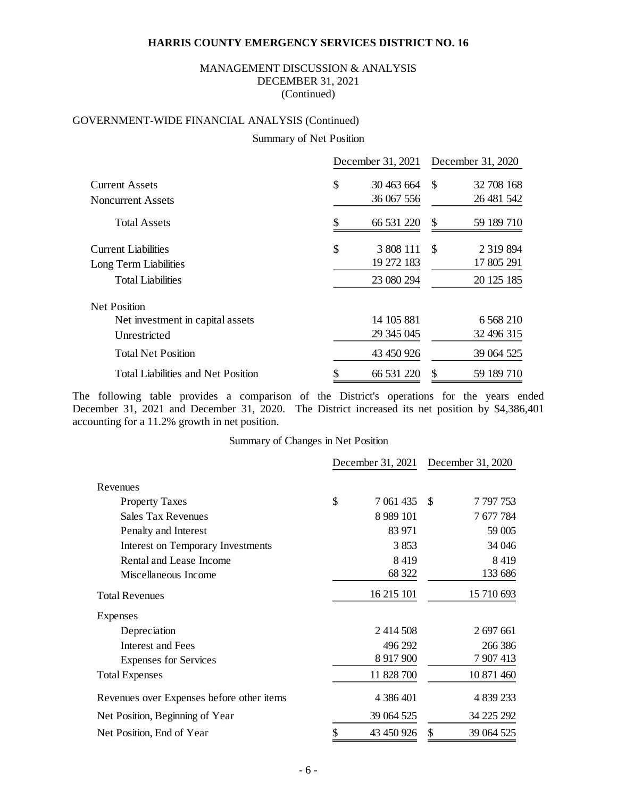# MANAGEMENT DISCUSSION & ANALYSIS DECEMBER 31, 2021 (Continued)

#### GOVERNMENT-WIDE FINANCIAL ANALYSIS (Continued)

Summary of Net Position

|                                           |                  | December 31, 2021 December 31, 2020 |              |  |
|-------------------------------------------|------------------|-------------------------------------|--------------|--|
| <b>Current Assets</b>                     | \$<br>30 463 664 | - \$                                | 32 708 168   |  |
| <b>Noncurrent Assets</b>                  | 36 067 556       |                                     | 26 481 542   |  |
| <b>Total Assets</b>                       | \$<br>66 531 220 | S                                   | 59 189 710   |  |
| <b>Current Liabilities</b>                | \$<br>3 808 111  | <sup>\$</sup>                       | 2 3 19 8 9 4 |  |
| Long Term Liabilities                     | 19 272 183       |                                     | 17 805 291   |  |
| <b>Total Liabilities</b>                  | 23 080 294       |                                     | 20 125 185   |  |
| <b>Net Position</b>                       |                  |                                     |              |  |
| Net investment in capital assets          | 14 105 881       |                                     | 6 5 6 210    |  |
| Unrestricted                              | 29 345 045       |                                     | 32 496 315   |  |
| <b>Total Net Position</b>                 | 43 450 926       |                                     | 39 064 525   |  |
| <b>Total Liabilities and Net Position</b> | \$<br>66 531 220 | S                                   | 59 189 710   |  |

The following table provides a comparison of the District's operations for the years ended December 31, 2021 and December 31, 2020. The District increased its net position by \$4,386,401 accounting for a 11.2% growth in net position.

# Summary of Changes in Net Position

|                                           |    |             | December 31, 2021 December 31, 2020 |            |  |
|-------------------------------------------|----|-------------|-------------------------------------|------------|--|
| Revenues                                  |    |             |                                     |            |  |
| <b>Property Taxes</b>                     | \$ | 7 061 435   | - \$                                | 7 797 753  |  |
| Sales Tax Revenues                        |    | 8 9 89 101  |                                     | 7 677 784  |  |
| Penalty and Interest                      |    | 83 971      |                                     | 59 005     |  |
| <b>Interest on Temporary Investments</b>  |    | 3853        |                                     | 34 046     |  |
| Rental and Lease Income                   |    | 8419        |                                     | 8419       |  |
| Miscellaneous Income                      |    | 68 322      |                                     | 133 686    |  |
| <b>Total Revenues</b>                     |    | 16 215 101  |                                     | 15 710 693 |  |
| Expenses                                  |    |             |                                     |            |  |
| Depreciation                              |    | 2 4 14 5 08 |                                     | 2 697 661  |  |
| <b>Interest and Fees</b>                  |    | 496 292     |                                     | 266 386    |  |
| <b>Expenses for Services</b>              |    | 8 917 900   |                                     | 7 907 413  |  |
| <b>Total Expenses</b>                     |    | 11 828 700  |                                     | 10 871 460 |  |
| Revenues over Expenses before other items |    | 4 386 401   |                                     | 4 839 233  |  |
| Net Position, Beginning of Year           |    | 39 064 525  |                                     | 34 225 292 |  |
| Net Position, End of Year                 | \$ | 43 450 926  | \$                                  | 39 064 525 |  |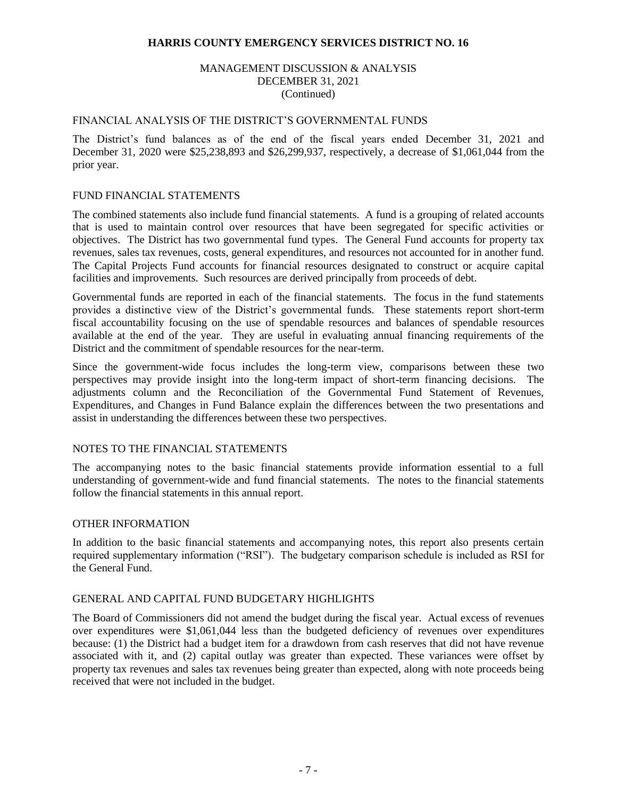#### MANAGEMENT DISCUSSION & ANALYSIS DECEMBER 31, 2021 (Continued)

#### FINANCIAL ANALYSIS OF THE DISTRICT'S GOVERNMENTAL FUNDS

The District's fund balances as of the end of the fiscal years ended December 31, 2021 and December 31, 2020 were \$25,238,893 and \$26,299,937, respectively, a decrease of \$1,061,044 from the prior year.

#### FUND FINANCIAL STATEMENTS

The combined statements also include fund financial statements. A fund is a grouping of related accounts that is used to maintain control over resources that have been segregated for specific activities or objectives. The District has two governmental fund types. The General Fund accounts for property tax revenues, sales tax revenues, costs, general expenditures, and resources not accounted for in another fund. The Capital Projects Fund accounts for financial resources designated to construct or acquire capital facilities and improvements. Such resources are derived principally from proceeds of debt.

Governmental funds are reported in each of the financial statements. The focus in the fund statements provides a distinctive view of the District's governmental funds. These statements report short-term fiscal accountability focusing on the use of spendable resources and balances of spendable resources available at the end of the year. They are useful in evaluating annual financing requirements of the District and the commitment of spendable resources for the near-term.

Since the government-wide focus includes the long-term view, comparisons between these two perspectives may provide insight into the long-term impact of short-term financing decisions. The adjustments column and the Reconciliation of the Governmental Fund Statement of Revenues, Expenditures, and Changes in Fund Balance explain the differences between the two presentations and assist in understanding the differences between these two perspectives.

# NOTES TO THE FINANCIAL STATEMENTS

The accompanying notes to the basic financial statements provide information essential to a full understanding of government-wide and fund financial statements. The notes to the financial statements follow the financial statements in this annual report.

#### OTHER INFORMATION

In addition to the basic financial statements and accompanying notes, this report also presents certain required supplementary information ("RSI"). The budgetary comparison schedule is included as RSI for the General Fund.

#### GENERAL AND CAPITAL FUND BUDGETARY HIGHLIGHTS

The Board of Commissioners did not amend the budget during the fiscal year. Actual excess of revenues over expenditures were \$1,061,044 less than the budgeted deficiency of revenues over expenditures because: (1) the District had a budget item for a drawdown from cash reserves that did not have revenue associated with it, and (2) capital outlay was greater than expected. These variances were offset by property tax revenues and sales tax revenues being greater than expected, along with note proceeds being received that were not included in the budget.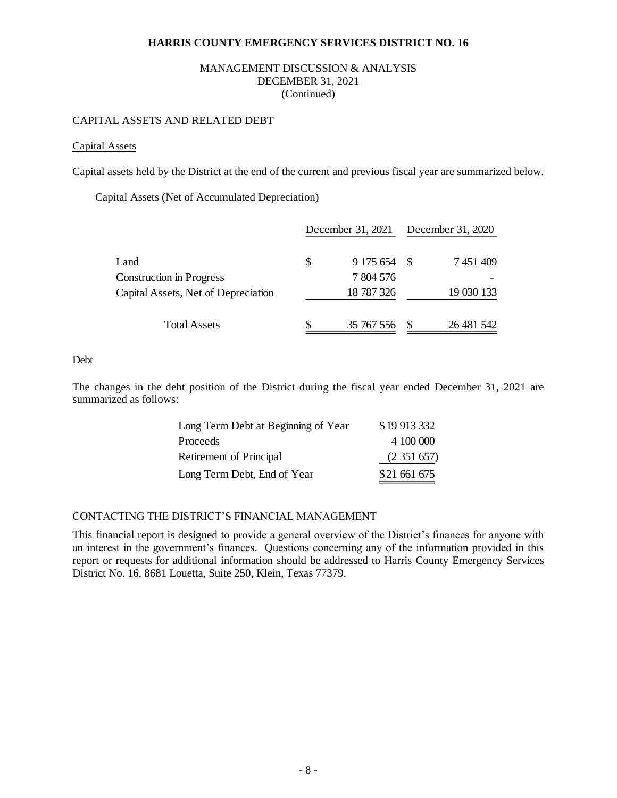#### MANAGEMENT DISCUSSION & ANALYSIS DECEMBER 31, 2021 (Continued)

#### CAPITAL ASSETS AND RELATED DEBT

#### Capital Assets

Capital assets held by the District at the end of the current and previous fiscal year are summarized below.

Capital Assets (Net of Accumulated Depreciation)

|                                     |   | December 31, 2021 | December 31, 2020 |
|-------------------------------------|---|-------------------|-------------------|
| Land                                | S | 9 175 654 \$      | 7 451 409         |
| <b>Construction in Progress</b>     |   | 7 804 576         |                   |
| Capital Assets, Net of Depreciation |   | 18 787 326        | 19 030 133        |
| <b>Total Assets</b>                 |   | 35 767 556        | 26 481 542        |

#### Debt

The changes in the debt position of the District during the fiscal year ended December 31, 2021 are summarized as follows:

| Long Term Debt at Beginning of Year | \$19 913 332 |
|-------------------------------------|--------------|
| Proceeds                            | 4 100 000    |
| Retirement of Principal             | (2351657)    |
| Long Term Debt, End of Year         | \$21 661 675 |

#### CONTACTING THE DISTRICT'S FINANCIAL MANAGEMENT

This financial report is designed to provide a general overview of the District's finances for anyone with an interest in the government's finances. Questions concerning any of the information provided in this report or requests for additional information should be addressed to Harris County Emergency Services District No. 16, 8681 Louetta, Suite 250, Klein, Texas 77379.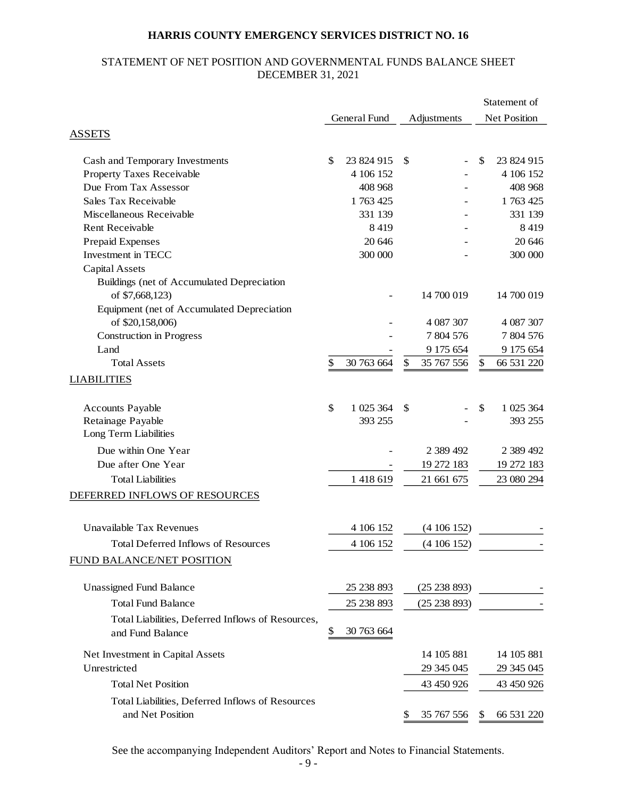# STATEMENT OF NET POSITION AND GOVERNMENTAL FUNDS BALANCE SHEET DECEMBER 31, 2021

|                                                                       |                  |                  |    | Statement of        |
|-----------------------------------------------------------------------|------------------|------------------|----|---------------------|
|                                                                       | General Fund     | Adjustments      |    | <b>Net Position</b> |
| <b>ASSETS</b>                                                         |                  |                  |    |                     |
| Cash and Temporary Investments                                        | \$<br>23 824 915 | \$               | \$ | 23 824 915          |
| <b>Property Taxes Receivable</b>                                      | 4 106 152        |                  |    | 4 106 152           |
| Due From Tax Assessor                                                 | 408 968          |                  |    | 408 968             |
| Sales Tax Receivable                                                  | 1763425          |                  |    | 1763425             |
| Miscellaneous Receivable                                              | 331 139          |                  |    | 331 139             |
| <b>Rent Receivable</b>                                                | 8419             |                  |    | 8419                |
| Prepaid Expenses                                                      | 20 646           |                  |    | 20 646              |
| Investment in TECC                                                    | 300 000          |                  |    | 300 000             |
| <b>Capital Assets</b>                                                 |                  |                  |    |                     |
| Buildings (net of Accumulated Depreciation                            |                  |                  |    |                     |
| of \$7,668,123)                                                       |                  | 14 700 019       |    | 14 700 019          |
| Equipment (net of Accumulated Depreciation                            |                  |                  |    |                     |
| of \$20,158,006)                                                      |                  | 4 087 307        |    | 4 087 307           |
| <b>Construction in Progress</b>                                       |                  | 7 804 576        |    | 7 804 576           |
| Land                                                                  |                  | 9 175 654        |    | 9 175 654           |
| <b>Total Assets</b>                                                   | \$<br>30 763 664 | \$<br>35 767 556 | \$ | 66 531 220          |
| <b>LIABILITIES</b>                                                    |                  |                  |    |                     |
| Accounts Payable                                                      | \$<br>1 025 364  | \$               | \$ | 1 025 364           |
| Retainage Payable                                                     | 393 255          |                  |    | 393 255             |
| Long Term Liabilities                                                 |                  |                  |    |                     |
| Due within One Year                                                   |                  | 2 389 492        |    | 2 389 492           |
| Due after One Year                                                    |                  | 19 272 183       |    | 19 272 183          |
| <b>Total Liabilities</b>                                              | 1 418 619        | 21 661 675       |    | 23 080 294          |
| DEFERRED INFLOWS OF RESOURCES                                         |                  |                  |    |                     |
| Unavailable Tax Revenues                                              | 4 106 152        | (4106152)        |    |                     |
|                                                                       |                  |                  |    |                     |
| <b>Total Deferred Inflows of Resources</b>                            | 4 106 152        | (4106152)        |    |                     |
| FUND BALANCE/NET POSITION                                             |                  |                  |    |                     |
| <b>Unassigned Fund Balance</b>                                        | 25 238 893       | (25 238 893)     |    |                     |
| <b>Total Fund Balance</b>                                             | 25 238 893       | (25 238 893)     |    |                     |
| Total Liabilities, Deferred Inflows of Resources,<br>and Fund Balance | \$<br>30 763 664 |                  |    |                     |
| Net Investment in Capital Assets                                      |                  | 14 105 881       |    | 14 105 881          |
| Unrestricted                                                          |                  | 29 345 045       |    | 29 345 045          |
| <b>Total Net Position</b>                                             |                  | 43 450 926       |    | 43 450 926          |
| Total Liabilities, Deferred Inflows of Resources<br>and Net Position  |                  | \$<br>35 767 556 | S. | 66 531 220          |
|                                                                       |                  |                  |    |                     |

See the accompanying Independent Auditors' Report and Notes to Financial Statements.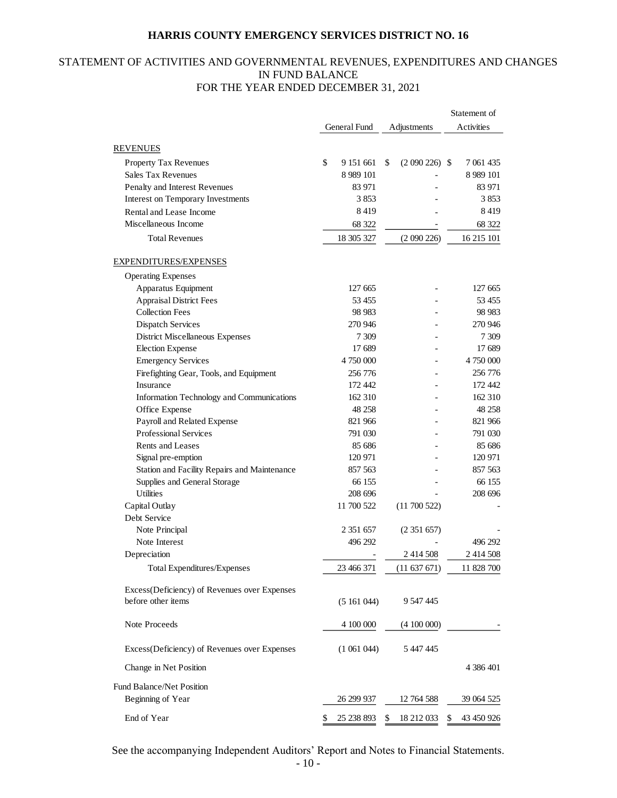# STATEMENT OF ACTIVITIES AND GOVERNMENTAL REVENUES, EXPENDITURES AND CHANGES IN FUND BALANCE FOR THE YEAR ENDED DECEMBER 31, 2021

|                                              |                  |                      | Statement of     |
|----------------------------------------------|------------------|----------------------|------------------|
|                                              | General Fund     | Adjustments          | Activities       |
| <b>REVENUES</b>                              |                  |                      |                  |
| <b>Property Tax Revenues</b>                 | \$<br>9 151 661  | \$<br>$(2090226)$ \$ | 7 061 435        |
| <b>Sales Tax Revenues</b>                    | 8 9 8 9 10 1     |                      | 8 9 8 9 10 1     |
| Penalty and Interest Revenues                | 83 971           |                      | 83 971           |
| Interest on Temporary Investments            | 3853             |                      | 3853             |
| Rental and Lease Income                      | 8419             |                      | 8419             |
| Miscellaneous Income                         | 68 322           |                      | 68 322           |
|                                              |                  |                      |                  |
| <b>Total Revenues</b>                        | 18 305 327       | (2 090 226)          | 16 215 101       |
| EXPENDITURES/EXPENSES                        |                  |                      |                  |
| <b>Operating Expenses</b>                    |                  |                      |                  |
| Apparatus Equipment                          | 127 665          |                      | 127 665          |
| <b>Appraisal District Fees</b>               | 53 455           |                      | 53 455           |
| <b>Collection Fees</b>                       | 98 983           |                      | 98 983           |
| <b>Dispatch Services</b>                     | 270 946          |                      | 270 946          |
| <b>District Miscellaneous Expenses</b>       | 7 309            |                      | 7 3 0 9          |
| <b>Election Expense</b>                      | 17 689           |                      | 17 689           |
| <b>Emergency Services</b>                    | 4 750 000        |                      | 4 750 000        |
| Firefighting Gear, Tools, and Equipment      | 256 776          |                      | 256 776          |
| Insurance                                    | 172 442          |                      | 172442           |
| Information Technology and Communications    | 162 310          |                      | 162 310          |
| Office Expense                               | 48 258           |                      | 48 258           |
| Payroll and Related Expense                  | 821 966          |                      | 821 966          |
| <b>Professional Services</b>                 | 791 030          |                      | 791 030          |
| Rents and Leases                             | 85 686           |                      | 85 686           |
| Signal pre-emption                           | 120 971          |                      | 120 971          |
| Station and Facility Repairs and Maintenance | 857 563          |                      | 857 563          |
| Supplies and General Storage                 | 66 155           |                      | 66 155           |
| <b>Utilities</b>                             | 208 696          |                      | 208 696          |
| Capital Outlay                               | 11 700 522       | (11700522)           |                  |
| Debt Service                                 |                  |                      |                  |
| Note Principal                               | 2 3 5 1 6 5 7    | (2351657)            |                  |
| Note Interest                                | 496 292          |                      | 496 292          |
| Depreciation                                 |                  | 2 4 14 5 08          | 2 4 14 5 08      |
| <b>Total Expenditures/Expenses</b>           | 23 466 371       | (11637671)           | 11 828 700       |
| Excess(Deficiency) of Revenues over Expenses |                  |                      |                  |
| before other items                           | (5161044)        | 9 547 445            |                  |
|                                              |                  |                      |                  |
| Note Proceeds                                | 4 100 000        | (4100000)            |                  |
| Excess(Deficiency) of Revenues over Expenses | (1061044)        | 5 447 445            |                  |
| Change in Net Position                       |                  |                      | 4 386 401        |
| <b>Fund Balance/Net Position</b>             |                  |                      |                  |
| Beginning of Year                            | 26 299 937       | 12 764 588           | 39 064 525       |
| End of Year                                  | \$<br>25 238 893 | \$<br>18 212 033     | \$<br>43 450 926 |

See the accompanying Independent Auditors' Report and Notes to Financial Statements.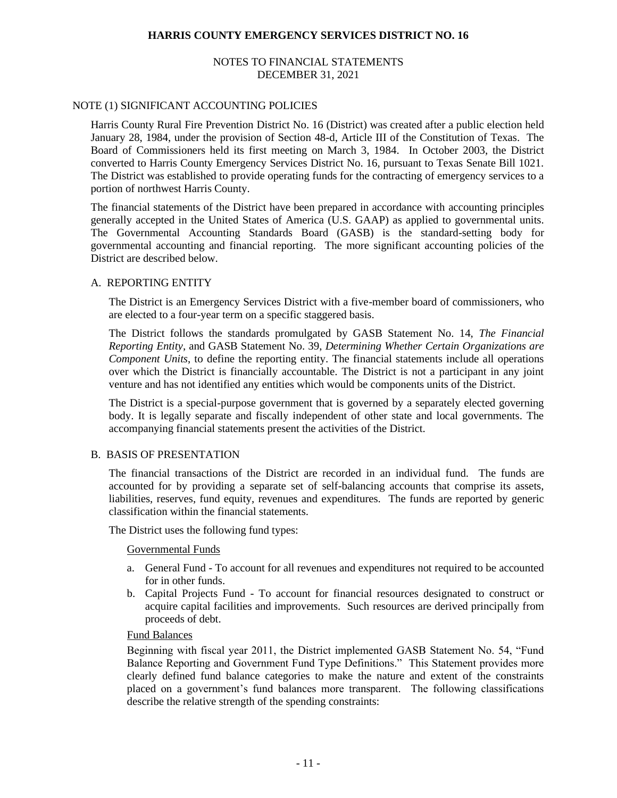#### NOTES TO FINANCIAL STATEMENTS DECEMBER 31, 2021

#### NOTE (1) SIGNIFICANT ACCOUNTING POLICIES

Harris County Rural Fire Prevention District No. 16 (District) was created after a public election held January 28, 1984, under the provision of Section 48-d, Article III of the Constitution of Texas. The Board of Commissioners held its first meeting on March 3, 1984. In October 2003, the District converted to Harris County Emergency Services District No. 16, pursuant to Texas Senate Bill 1021. The District was established to provide operating funds for the contracting of emergency services to a portion of northwest Harris County.

The financial statements of the District have been prepared in accordance with accounting principles generally accepted in the United States of America (U.S. GAAP) as applied to governmental units. The Governmental Accounting Standards Board (GASB) is the standard-setting body for governmental accounting and financial reporting. The more significant accounting policies of the District are described below.

#### A. REPORTING ENTITY

The District is an Emergency Services District with a five-member board of commissioners, who are elected to a four-year term on a specific staggered basis.

The District follows the standards promulgated by GASB Statement No. 14, *The Financial Reporting Entity*, and GASB Statement No. 39, *Determining Whether Certain Organizations are Component Units*, to define the reporting entity. The financial statements include all operations over which the District is financially accountable. The District is not a participant in any joint venture and has not identified any entities which would be components units of the District.

The District is a special-purpose government that is governed by a separately elected governing body. It is legally separate and fiscally independent of other state and local governments. The accompanying financial statements present the activities of the District.

#### B. BASIS OF PRESENTATION

The financial transactions of the District are recorded in an individual fund. The funds are accounted for by providing a separate set of self-balancing accounts that comprise its assets, liabilities, reserves, fund equity, revenues and expenditures. The funds are reported by generic classification within the financial statements.

The District uses the following fund types:

#### Governmental Funds

- a. General Fund To account for all revenues and expenditures not required to be accounted for in other funds.
- b. Capital Projects Fund To account for financial resources designated to construct or acquire capital facilities and improvements. Such resources are derived principally from proceeds of debt.

#### Fund Balances

Beginning with fiscal year 2011, the District implemented GASB Statement No. 54, "Fund Balance Reporting and Government Fund Type Definitions." This Statement provides more clearly defined fund balance categories to make the nature and extent of the constraints placed on a government's fund balances more transparent. The following classifications describe the relative strength of the spending constraints: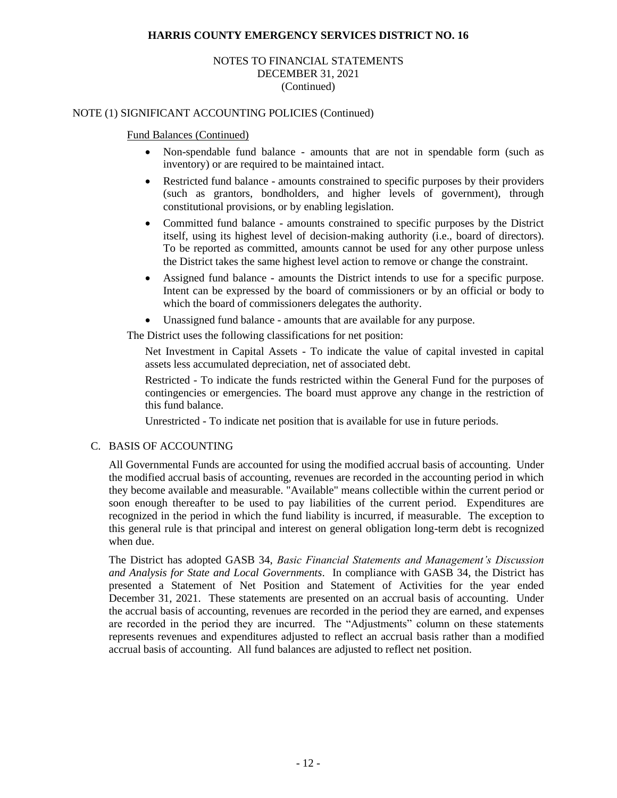#### NOTES TO FINANCIAL STATEMENTS DECEMBER 31, 2021 (Continued)

#### NOTE (1) SIGNIFICANT ACCOUNTING POLICIES (Continued)

## Fund Balances (Continued)

- Non-spendable fund balance amounts that are not in spendable form (such as inventory) or are required to be maintained intact.
- Restricted fund balance amounts constrained to specific purposes by their providers (such as grantors, bondholders, and higher levels of government), through constitutional provisions, or by enabling legislation.
- Committed fund balance amounts constrained to specific purposes by the District itself, using its highest level of decision-making authority (i.e., board of directors). To be reported as committed, amounts cannot be used for any other purpose unless the District takes the same highest level action to remove or change the constraint.
- Assigned fund balance amounts the District intends to use for a specific purpose. Intent can be expressed by the board of commissioners or by an official or body to which the board of commissioners delegates the authority.
- Unassigned fund balance amounts that are available for any purpose.

The District uses the following classifications for net position:

Net Investment in Capital Assets - To indicate the value of capital invested in capital assets less accumulated depreciation, net of associated debt.

Restricted - To indicate the funds restricted within the General Fund for the purposes of contingencies or emergencies. The board must approve any change in the restriction of this fund balance.

Unrestricted - To indicate net position that is available for use in future periods.

#### C. BASIS OF ACCOUNTING

All Governmental Funds are accounted for using the modified accrual basis of accounting. Under the modified accrual basis of accounting, revenues are recorded in the accounting period in which they become available and measurable. "Available" means collectible within the current period or soon enough thereafter to be used to pay liabilities of the current period. Expenditures are recognized in the period in which the fund liability is incurred, if measurable. The exception to this general rule is that principal and interest on general obligation long-term debt is recognized when due.

The District has adopted GASB 34, *Basic Financial Statements and Management's Discussion and Analysis for State and Local Governments*. In compliance with GASB 34, the District has presented a Statement of Net Position and Statement of Activities for the year ended December 31, 2021. These statements are presented on an accrual basis of accounting. Under the accrual basis of accounting, revenues are recorded in the period they are earned, and expenses are recorded in the period they are incurred. The "Adjustments" column on these statements represents revenues and expenditures adjusted to reflect an accrual basis rather than a modified accrual basis of accounting. All fund balances are adjusted to reflect net position.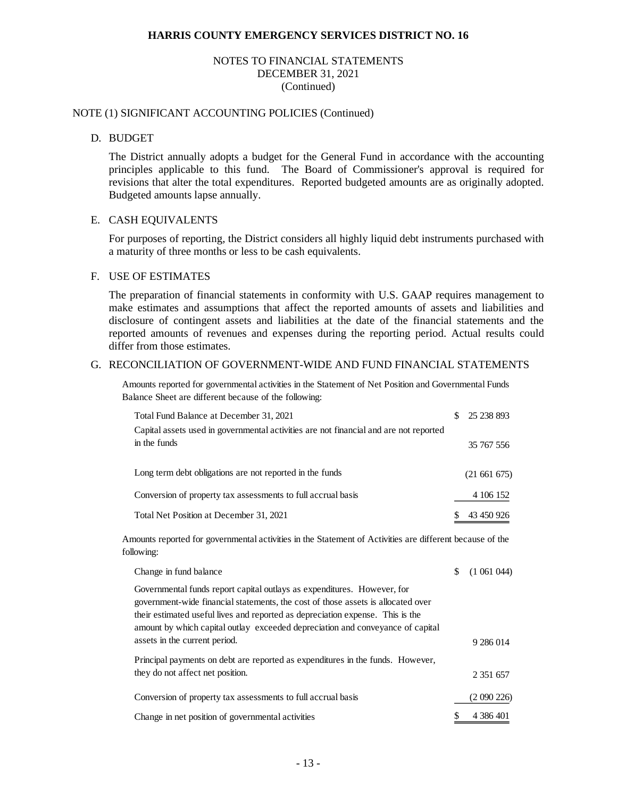# NOTES TO FINANCIAL STATEMENTS DECEMBER 31, 2021 (Continued)

#### NOTE (1) SIGNIFICANT ACCOUNTING POLICIES (Continued)

#### D. BUDGET

The District annually adopts a budget for the General Fund in accordance with the accounting principles applicable to this fund. The Board of Commissioner's approval is required for revisions that alter the total expenditures. Reported budgeted amounts are as originally adopted. Budgeted amounts lapse annually.

#### E. CASH EQUIVALENTS

For purposes of reporting, the District considers all highly liquid debt instruments purchased with a maturity of three months or less to be cash equivalents.

#### F. USE OF ESTIMATES

The preparation of financial statements in conformity with U.S. GAAP requires management to make estimates and assumptions that affect the reported amounts of assets and liabilities and disclosure of contingent assets and liabilities at the date of the financial statements and the reported amounts of revenues and expenses during the reporting period. Actual results could differ from those estimates.

#### G. RECONCILIATION OF GOVERNMENT-WIDE AND FUND FINANCIAL STATEMENTS

Amounts reported for governmental activities in the Statement of Net Position and Governmental Funds Balance Sheet are different because of the following:

| Total Fund Balance at December 31, 2021                                                                 | \$ 25 238 893    |
|---------------------------------------------------------------------------------------------------------|------------------|
| Capital assets used in governmental activities are not financial and are not reported<br>in the funds   | 35 767 556       |
| Long term debt obligations are not reported in the funds                                                | $(21\ 661\ 675)$ |
| Conversion of property tax assessments to full accrual basis                                            | 4 106 152        |
| Total Net Position at December 31, 2021                                                                 | 43 450 926       |
| mounts reported for governmental activities in the Statement of Activities are different because of the |                  |

Amounts reported for governmental activities in the Statement of Activities are different because of the following:

| Change in fund balance                                                                                                                                                                                                                                                                                                          | \$<br>(1061044) |
|---------------------------------------------------------------------------------------------------------------------------------------------------------------------------------------------------------------------------------------------------------------------------------------------------------------------------------|-----------------|
| Governmental funds report capital outlays as expenditures. However, for<br>government-wide financial statements, the cost of those assets is allocated over<br>their estimated useful lives and reported as depreciation expense. This is the<br>amount by which capital outlay exceeded depreciation and conveyance of capital |                 |
| assets in the current period.                                                                                                                                                                                                                                                                                                   | 9 286 014       |
| Principal payments on debt are reported as expenditures in the funds. However,<br>they do not affect net position.                                                                                                                                                                                                              | 2 3 5 1 6 5 7   |
| Conversion of property tax assessments to full accrual basis                                                                                                                                                                                                                                                                    | (2090226)       |
| Change in net position of governmental activities                                                                                                                                                                                                                                                                               | 4 386 401       |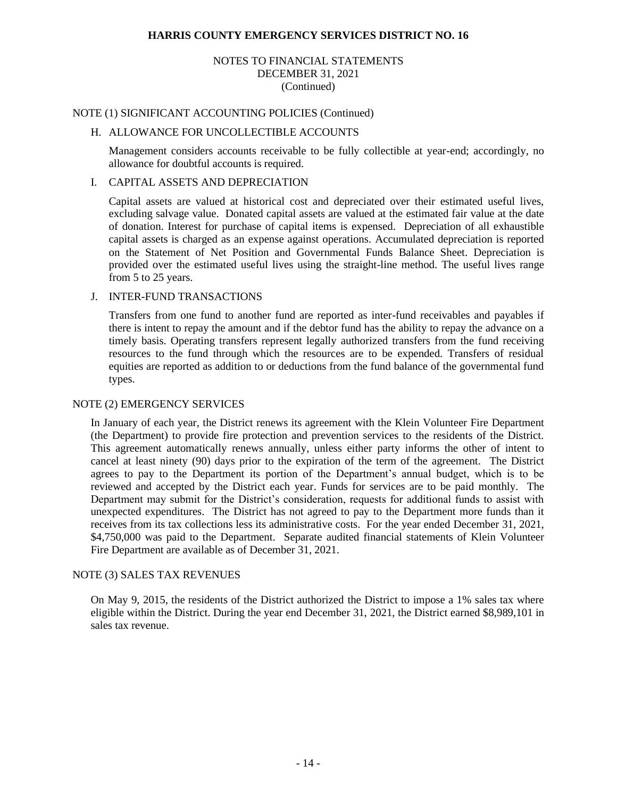# NOTES TO FINANCIAL STATEMENTS DECEMBER 31, 2021 (Continued)

# NOTE (1) SIGNIFICANT ACCOUNTING POLICIES (Continued)

#### H. ALLOWANCE FOR UNCOLLECTIBLE ACCOUNTS

Management considers accounts receivable to be fully collectible at year-end; accordingly, no allowance for doubtful accounts is required.

#### I. CAPITAL ASSETS AND DEPRECIATION

Capital assets are valued at historical cost and depreciated over their estimated useful lives, excluding salvage value. Donated capital assets are valued at the estimated fair value at the date of donation. Interest for purchase of capital items is expensed. Depreciation of all exhaustible capital assets is charged as an expense against operations. Accumulated depreciation is reported on the Statement of Net Position and Governmental Funds Balance Sheet. Depreciation is provided over the estimated useful lives using the straight-line method. The useful lives range from 5 to 25 years.

#### J. INTER-FUND TRANSACTIONS

Transfers from one fund to another fund are reported as inter-fund receivables and payables if there is intent to repay the amount and if the debtor fund has the ability to repay the advance on a timely basis. Operating transfers represent legally authorized transfers from the fund receiving resources to the fund through which the resources are to be expended. Transfers of residual equities are reported as addition to or deductions from the fund balance of the governmental fund types.

#### NOTE (2) EMERGENCY SERVICES

In January of each year, the District renews its agreement with the Klein Volunteer Fire Department (the Department) to provide fire protection and prevention services to the residents of the District. This agreement automatically renews annually, unless either party informs the other of intent to cancel at least ninety (90) days prior to the expiration of the term of the agreement. The District agrees to pay to the Department its portion of the Department's annual budget, which is to be reviewed and accepted by the District each year. Funds for services are to be paid monthly. The Department may submit for the District's consideration, requests for additional funds to assist with unexpected expenditures. The District has not agreed to pay to the Department more funds than it receives from its tax collections less its administrative costs. For the year ended December 31, 2021, \$4,750,000 was paid to the Department. Separate audited financial statements of Klein Volunteer Fire Department are available as of December 31, 2021.

#### NOTE (3) SALES TAX REVENUES

On May 9, 2015, the residents of the District authorized the District to impose a 1% sales tax where eligible within the District. During the year end December 31, 2021, the District earned \$8,989,101 in sales tax revenue.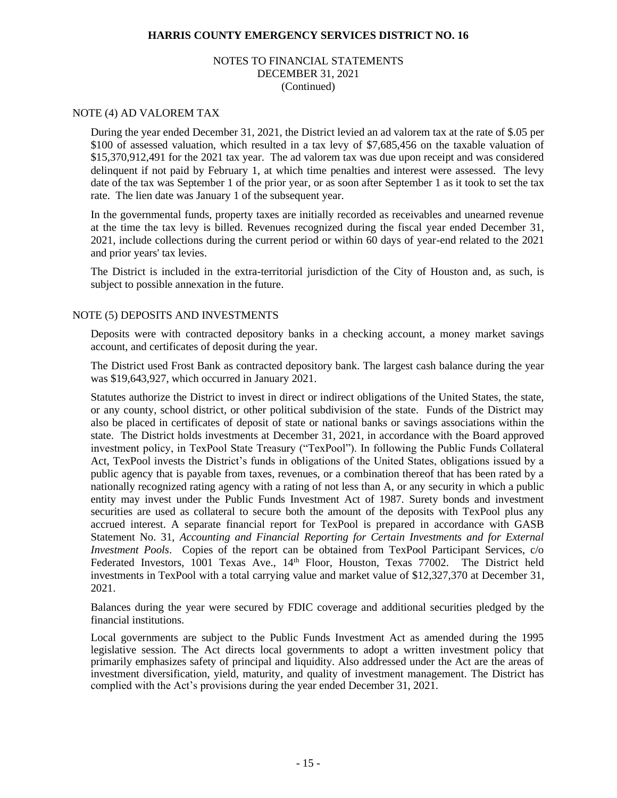#### NOTES TO FINANCIAL STATEMENTS DECEMBER 31, 2021 (Continued)

#### NOTE (4) AD VALOREM TAX

During the year ended December 31, 2021, the District levied an ad valorem tax at the rate of \$.05 per \$100 of assessed valuation, which resulted in a tax levy of \$7,685,456 on the taxable valuation of \$15,370,912,491 for the 2021 tax year. The ad valorem tax was due upon receipt and was considered delinquent if not paid by February 1, at which time penalties and interest were assessed. The levy date of the tax was September 1 of the prior year, or as soon after September 1 as it took to set the tax rate. The lien date was January 1 of the subsequent year.

In the governmental funds, property taxes are initially recorded as receivables and unearned revenue at the time the tax levy is billed. Revenues recognized during the fiscal year ended December 31, 2021, include collections during the current period or within 60 days of year-end related to the 2021 and prior years' tax levies.

The District is included in the extra-territorial jurisdiction of the City of Houston and, as such, is subject to possible annexation in the future.

#### NOTE (5) DEPOSITS AND INVESTMENTS

Deposits were with contracted depository banks in a checking account, a money market savings account, and certificates of deposit during the year.

The District used Frost Bank as contracted depository bank. The largest cash balance during the year was \$19,643,927, which occurred in January 2021.

Statutes authorize the District to invest in direct or indirect obligations of the United States, the state, or any county, school district, or other political subdivision of the state. Funds of the District may also be placed in certificates of deposit of state or national banks or savings associations within the state. The District holds investments at December 31, 2021, in accordance with the Board approved investment policy, in TexPool State Treasury ("TexPool"). In following the Public Funds Collateral Act, TexPool invests the District's funds in obligations of the United States, obligations issued by a public agency that is payable from taxes, revenues, or a combination thereof that has been rated by a nationally recognized rating agency with a rating of not less than A, or any security in which a public entity may invest under the Public Funds Investment Act of 1987. Surety bonds and investment securities are used as collateral to secure both the amount of the deposits with TexPool plus any accrued interest. A separate financial report for TexPool is prepared in accordance with GASB Statement No. 31, *Accounting and Financial Reporting for Certain Investments and for External Investment Pools*. Copies of the report can be obtained from TexPool Participant Services, c/o Federated Investors, 1001 Texas Ave., 14<sup>th</sup> Floor, Houston, Texas 77002. The District held investments in TexPool with a total carrying value and market value of \$12,327,370 at December 31, 2021.

Balances during the year were secured by FDIC coverage and additional securities pledged by the financial institutions.

Local governments are subject to the Public Funds Investment Act as amended during the 1995 legislative session. The Act directs local governments to adopt a written investment policy that primarily emphasizes safety of principal and liquidity. Also addressed under the Act are the areas of investment diversification, yield, maturity, and quality of investment management. The District has complied with the Act's provisions during the year ended December 31, 2021.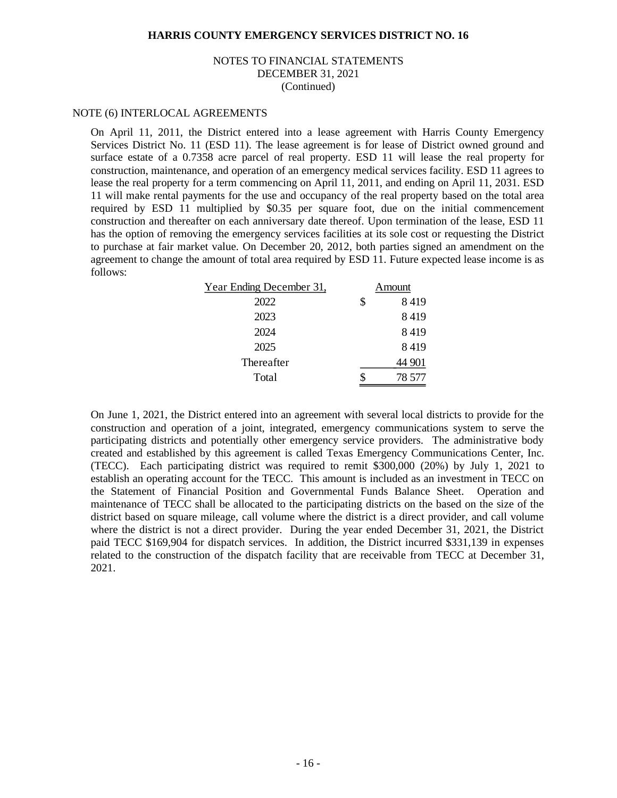### NOTES TO FINANCIAL STATEMENTS DECEMBER 31, 2021 (Continued)

#### NOTE (6) INTERLOCAL AGREEMENTS

On April 11, 2011, the District entered into a lease agreement with Harris County Emergency Services District No. 11 (ESD 11). The lease agreement is for lease of District owned ground and surface estate of a 0.7358 acre parcel of real property. ESD 11 will lease the real property for construction, maintenance, and operation of an emergency medical services facility. ESD 11 agrees to lease the real property for a term commencing on April 11, 2011, and ending on April 11, 2031. ESD 11 will make rental payments for the use and occupancy of the real property based on the total area required by ESD 11 multiplied by \$0.35 per square foot, due on the initial commencement construction and thereafter on each anniversary date thereof. Upon termination of the lease, ESD 11 has the option of removing the emergency services facilities at its sole cost or requesting the District to purchase at fair market value. On December 20, 2012, both parties signed an amendment on the agreement to change the amount of total area required by ESD 11. Future expected lease income is as follows:

| Year Ending December 31, | Amount     |
|--------------------------|------------|
| 2022                     | \$<br>8419 |
| 2023                     | 8419       |
| 2024                     | 8419       |
| 2025                     | 8419       |
| Thereafter               | 44 901     |
| Total                    | 78 577     |

On June 1, 2021, the District entered into an agreement with several local districts to provide for the construction and operation of a joint, integrated, emergency communications system to serve the participating districts and potentially other emergency service providers. The administrative body created and established by this agreement is called Texas Emergency Communications Center, Inc. (TECC). Each participating district was required to remit \$300,000 (20%) by July 1, 2021 to establish an operating account for the TECC. This amount is included as an investment in TECC on the Statement of Financial Position and Governmental Funds Balance Sheet. Operation and maintenance of TECC shall be allocated to the participating districts on the based on the size of the district based on square mileage, call volume where the district is a direct provider, and call volume where the district is not a direct provider. During the year ended December 31, 2021, the District paid TECC \$169,904 for dispatch services. In addition, the District incurred \$331,139 in expenses related to the construction of the dispatch facility that are receivable from TECC at December 31, 2021.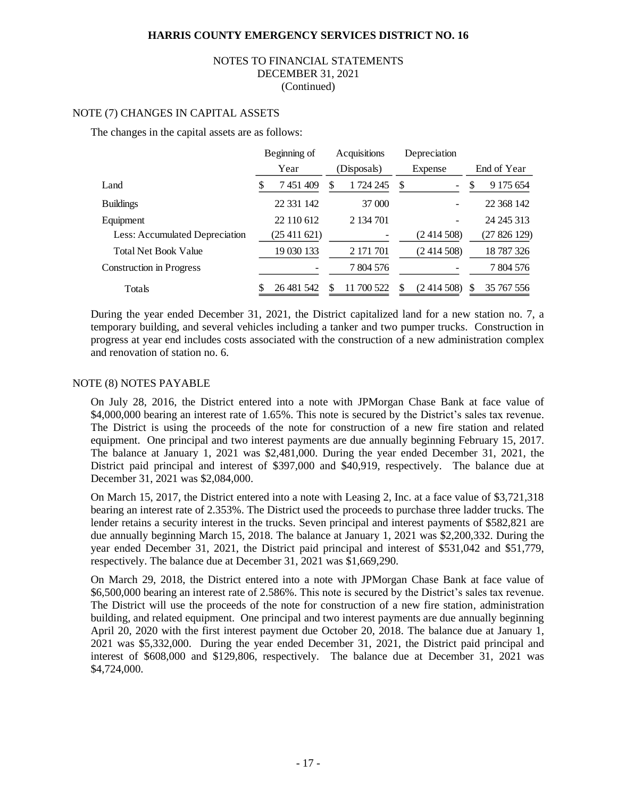# NOTES TO FINANCIAL STATEMENTS DECEMBER 31, 2021 (Continued)

#### NOTE (7) CHANGES IN CAPITAL ASSETS

The changes in the capital assets are as follows:

|                                 | Beginning of<br>Acquisitions |            |             | Depreciation |         |           |             |            |
|---------------------------------|------------------------------|------------|-------------|--------------|---------|-----------|-------------|------------|
|                                 |                              | Year       | (Disposals) |              | Expense |           | End of Year |            |
| Land                            | S                            | 7 451 409  | \$          | 1 724 245    | \$      |           | \$          | 9 175 654  |
| <b>Buildings</b>                |                              | 22 331 142 |             | 37 000       |         |           |             | 22 368 142 |
| Equipment                       |                              | 22 110 612 |             | 2 134 701    |         |           |             | 24 245 313 |
| Less: Accumulated Depreciation  |                              | (25411621) |             |              |         | (2414508) |             | (27826129) |
| <b>Total Net Book Value</b>     |                              | 19 030 133 |             | 2 171 701    |         | (2414508) |             | 18 787 326 |
| <b>Construction in Progress</b> |                              |            |             | 7 804 576    |         |           |             | 7 804 576  |
| Totals                          |                              | 26 481 542 | \$          | 11 700 522   | \$.     | (2414508) | \$          | 35 767 556 |

During the year ended December 31, 2021, the District capitalized land for a new station no. 7, a temporary building, and several vehicles including a tanker and two pumper trucks. Construction in progress at year end includes costs associated with the construction of a new administration complex and renovation of station no. 6.

#### NOTE (8) NOTES PAYABLE

On July 28, 2016, the District entered into a note with JPMorgan Chase Bank at face value of \$4,000,000 bearing an interest rate of 1.65%. This note is secured by the District's sales tax revenue. The District is using the proceeds of the note for construction of a new fire station and related equipment. One principal and two interest payments are due annually beginning February 15, 2017. The balance at January 1, 2021 was \$2,481,000. During the year ended December 31, 2021, the District paid principal and interest of \$397,000 and \$40,919, respectively. The balance due at December 31, 2021 was \$2,084,000.

On March 15, 2017, the District entered into a note with Leasing 2, Inc. at a face value of \$3,721,318 bearing an interest rate of 2.353%. The District used the proceeds to purchase three ladder trucks. The lender retains a security interest in the trucks. Seven principal and interest payments of \$582,821 are due annually beginning March 15, 2018. The balance at January 1, 2021 was \$2,200,332. During the year ended December 31, 2021, the District paid principal and interest of \$531,042 and \$51,779, respectively. The balance due at December 31, 2021 was \$1,669,290.

On March 29, 2018, the District entered into a note with JPMorgan Chase Bank at face value of \$6,500,000 bearing an interest rate of 2.586%. This note is secured by the District's sales tax revenue. The District will use the proceeds of the note for construction of a new fire station, administration building, and related equipment. One principal and two interest payments are due annually beginning April 20, 2020 with the first interest payment due October 20, 2018. The balance due at January 1, 2021 was \$5,332,000. During the year ended December 31, 2021, the District paid principal and interest of \$608,000 and \$129,806, respectively. The balance due at December 31, 2021 was \$4,724,000.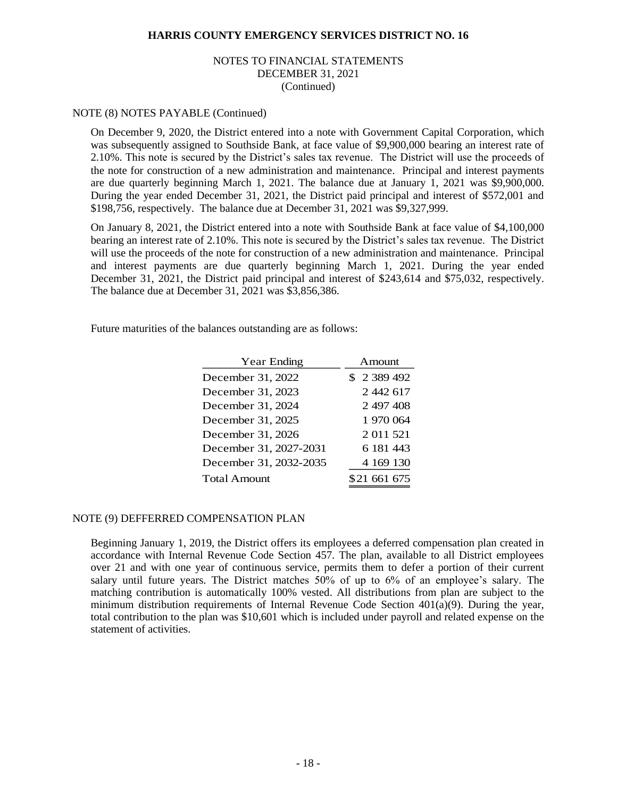#### NOTES TO FINANCIAL STATEMENTS DECEMBER 31, 2021 (Continued)

#### NOTE (8) NOTES PAYABLE (Continued)

On December 9, 2020, the District entered into a note with Government Capital Corporation, which was subsequently assigned to Southside Bank, at face value of \$9,900,000 bearing an interest rate of 2.10%. This note is secured by the District's sales tax revenue. The District will use the proceeds of the note for construction of a new administration and maintenance. Principal and interest payments are due quarterly beginning March 1, 2021. The balance due at January 1, 2021 was \$9,900,000. During the year ended December 31, 2021, the District paid principal and interest of \$572,001 and \$198,756, respectively. The balance due at December 31, 2021 was \$9,327,999.

On January 8, 2021, the District entered into a note with Southside Bank at face value of \$4,100,000 bearing an interest rate of 2.10%. This note is secured by the District's sales tax revenue. The District will use the proceeds of the note for construction of a new administration and maintenance. Principal and interest payments are due quarterly beginning March 1, 2021. During the year ended December 31, 2021, the District paid principal and interest of \$243,614 and \$75,032, respectively. The balance due at December 31, 2021 was \$3,856,386.

Future maturities of the balances outstanding are as follows:

| Year Ending            | Amount       |
|------------------------|--------------|
| December 31, 2022      | \$2389492    |
| December 31, 2023      | 2 442 617    |
| December 31, 2024      | 2 497 408    |
| December 31, 2025      | 1 970 064    |
| December 31, 2026      | 2 011 521    |
| December 31, 2027-2031 | 6 181 443    |
| December 31, 2032-2035 | 4 169 130    |
| Total Amount           | \$21 661 675 |

#### NOTE (9) DEFFERRED COMPENSATION PLAN

Beginning January 1, 2019, the District offers its employees a deferred compensation plan created in accordance with Internal Revenue Code Section 457. The plan, available to all District employees over 21 and with one year of continuous service, permits them to defer a portion of their current salary until future years. The District matches 50% of up to 6% of an employee's salary. The matching contribution is automatically 100% vested. All distributions from plan are subject to the minimum distribution requirements of Internal Revenue Code Section  $401(a)(9)$ . During the year, total contribution to the plan was \$10,601 which is included under payroll and related expense on the statement of activities.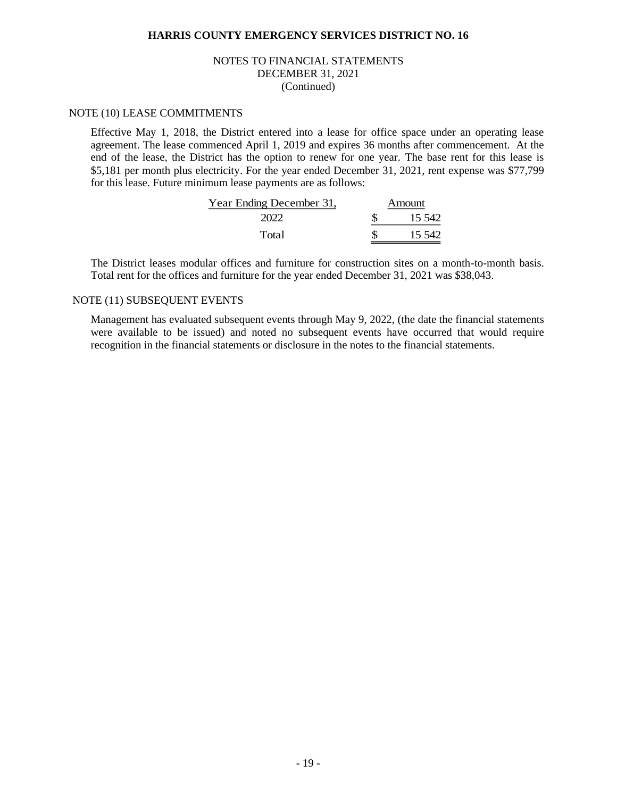### NOTES TO FINANCIAL STATEMENTS DECEMBER 31, 2021 (Continued)

#### NOTE (10) LEASE COMMITMENTS

Effective May 1, 2018, the District entered into a lease for office space under an operating lease agreement. The lease commenced April 1, 2019 and expires 36 months after commencement. At the end of the lease, the District has the option to renew for one year. The base rent for this lease is \$5,181 per month plus electricity. For the year ended December 31, 2021, rent expense was \$77,799 for this lease. Future minimum lease payments are as follows:

| Year Ending December 31, | Amount |  |  |  |
|--------------------------|--------|--|--|--|
| 2022                     | 15.542 |  |  |  |
| Total                    | 15.542 |  |  |  |

The District leases modular offices and furniture for construction sites on a month-to-month basis. Total rent for the offices and furniture for the year ended December 31, 2021 was \$38,043.

#### NOTE (11) SUBSEQUENT EVENTS

Management has evaluated subsequent events through May 9, 2022, (the date the financial statements were available to be issued) and noted no subsequent events have occurred that would require recognition in the financial statements or disclosure in the notes to the financial statements.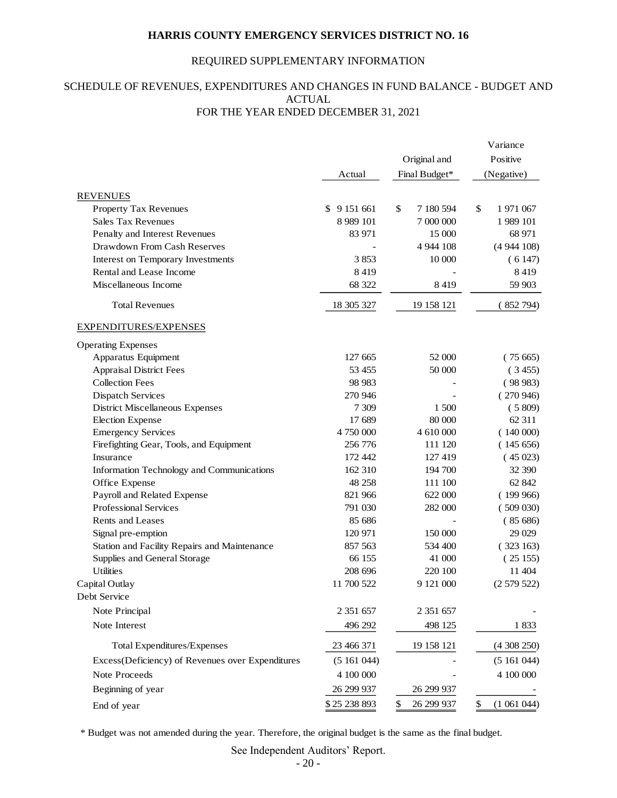# REQUIRED SUPPLEMENTARY INFORMATION

# SCHEDULE OF REVENUES, EXPENDITURES AND CHANGES IN FUND BALANCE - BUDGET AND ACTUAL FOR THE YEAR ENDED DECEMBER 31, 2021

|                                                  | Original and    |                  | Variance<br>Positive |  |
|--------------------------------------------------|-----------------|------------------|----------------------|--|
|                                                  |                 |                  |                      |  |
|                                                  | Actual          | Final Budget*    | (Negative)           |  |
| <b>REVENUES</b>                                  |                 |                  |                      |  |
| <b>Property Tax Revenues</b>                     | 9 151 661<br>\$ | \$<br>7 180 594  | \$<br>1971067        |  |
| <b>Sales Tax Revenues</b>                        | 8 9 89 101      | 7 000 000        | 1 989 101            |  |
| Penalty and Interest Revenues                    | 83 971          | 15 000           | 68 971               |  |
| Drawdown From Cash Reserves                      |                 | 4 9 44 108       | (4944108)            |  |
| Interest on Temporary Investments                | 3853            | 10 000           | (6147)               |  |
| Rental and Lease Income                          | 8419            |                  | 8419                 |  |
| Miscellaneous Income                             | 68 322          | 8419             | 59 903               |  |
| <b>Total Revenues</b>                            | 18 305 327      | 19 158 121       | (852794)             |  |
| EXPENDITURES/EXPENSES                            |                 |                  |                      |  |
| <b>Operating Expenses</b>                        |                 |                  |                      |  |
| Apparatus Equipment                              | 127 665         | 52 000           | (75665)              |  |
| <b>Appraisal District Fees</b>                   | 53 455          | 50 000           | (3455)               |  |
| <b>Collection Fees</b>                           | 98 983          |                  | (98983)              |  |
| <b>Dispatch Services</b>                         | 270 946         |                  | (270946)             |  |
| <b>District Miscellaneous Expenses</b>           | 7 3 0 9         | 1 500            | (5809)               |  |
| <b>Election Expense</b>                          | 17 689          | 80 000           | 62 311               |  |
| <b>Emergency Services</b>                        | 4 750 000       | 4 610 000        | (140000)             |  |
| Firefighting Gear, Tools, and Equipment          | 256 776         | 111 120          | (145656)             |  |
| Insurance                                        | 172 442         | 127 419          | (45023)              |  |
| Information Technology and Communications        | 162 310         | 194 700          | 32 390               |  |
| Office Expense                                   | 48 258          | 111 100          | 62 842               |  |
| Payroll and Related Expense                      | 821 966         | 622 000          | (199966)             |  |
| <b>Professional Services</b>                     | 791 030         | 282 000          | (509030)             |  |
| Rents and Leases                                 | 85 686          |                  | (85686)              |  |
| Signal pre-emption                               | 120 971         | 150 000          | 29 029               |  |
| Station and Facility Repairs and Maintenance     | 857 563         | 534 400          | (323163)             |  |
| Supplies and General Storage                     | 66 155          | 41 000           | (25155)              |  |
| <b>Utilities</b>                                 | 208 696         | 220 100          | 11 404               |  |
| Capital Outlay                                   | 11 700 522      | 9 121 000        | (2579522)            |  |
| Debt Service                                     |                 |                  |                      |  |
| Note Principal                                   | 2 3 5 1 6 5 7   | 2 3 5 1 6 5 7    |                      |  |
| Note Interest                                    | 496 292         | 498 125          | 1833                 |  |
| Total Expenditures/Expenses                      | 23 466 371      | 19 158 121       | (4308250)            |  |
| Excess(Deficiency) of Revenues over Expenditures | (5161044)       |                  | (5161044)            |  |
| Note Proceeds                                    | 4 100 000       |                  | 4 100 000            |  |
| Beginning of year                                | 26 299 937      | 26 299 937       |                      |  |
| End of year                                      | \$25 238 893    | \$<br>26 299 937 | \$<br>(1061044)      |  |

\* Budget was not amended during the year. Therefore, the original budget is the same as the final budget.

See Independent Auditors' Report.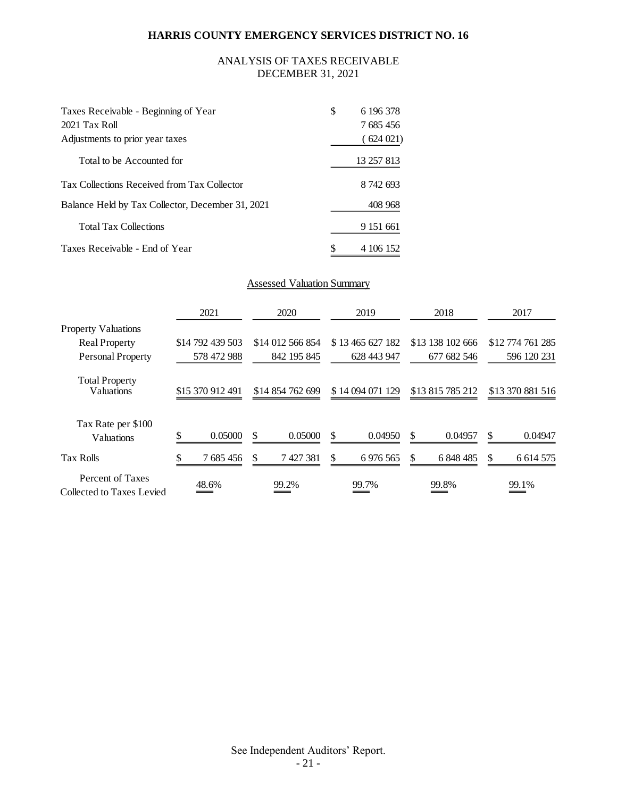# ANALYSIS OF TAXES RECEIVABLE DECEMBER 31, 2021

| Taxes Receivable - Beginning of Year             | \$ | 6 196 378  |
|--------------------------------------------------|----|------------|
| 2021 Tax Roll                                    |    | 7 685 456  |
| Adjustments to prior year taxes                  |    | (624021)   |
| Total to be Accounted for                        |    | 13 257 813 |
| Tax Collections Received from Tax Collector      |    | 8 742 693  |
| Balance Held by Tax Collector, December 31, 2021 |    | 408 968    |
| <b>Total Tax Collections</b>                     |    | 9 151 661  |
| Taxes Receivable - End of Year                   | S  | 4 106 152  |

# Assessed Valuation Summary

|                                               | 2021             | 2020             | 2019             | 2018             | 2017             |
|-----------------------------------------------|------------------|------------------|------------------|------------------|------------------|
| <b>Property Valuations</b>                    |                  |                  |                  |                  |                  |
| <b>Real Property</b>                          | \$14 792 439 503 | \$14 012 566 854 | \$13465627182    | \$13 138 102 666 | \$12 774 761 285 |
| <b>Personal Property</b>                      | 578 472 988      | 842 195 845      | 628 443 947      | 677 682 546      | 596 120 231      |
| <b>Total Property</b><br>Valuations           | \$15 370 912 491 | \$14 854 762 699 | \$14 094 071 129 | \$13 815 785 212 | \$13 370 881 516 |
| Tax Rate per \$100<br>Valuations              | \$<br>0.05000    | 0.05000<br>\$    | 0.04950<br>\$    | \$.<br>0.04957   | 0.04947<br>S.    |
| <b>Tax Rolls</b>                              | \$<br>7 685 456  | 7427381<br>\$.   | 6 976 565<br>S   | 6 848 485<br>S.  | 6 6 14 5 75<br>S |
| Percent of Taxes<br>Collected to Taxes Levied | 48.6%            | 99.2%            | 99.7%            | 99.8%            | 99.1%            |